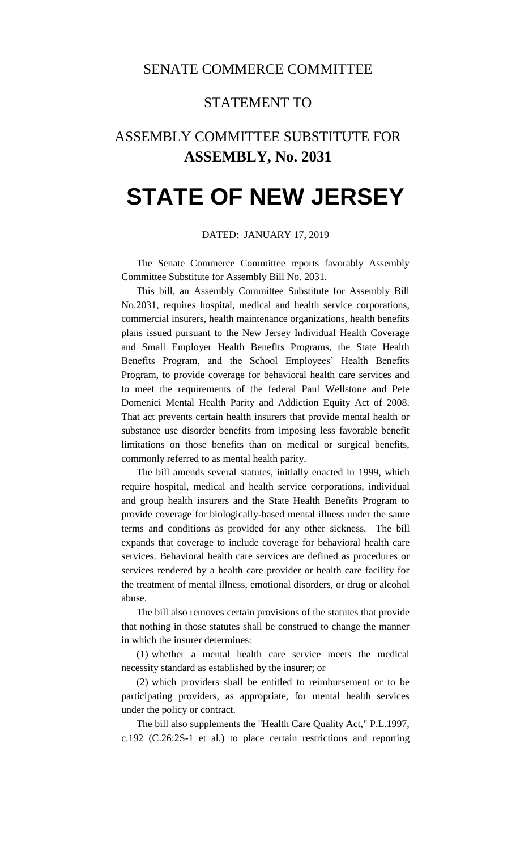## SENATE COMMERCE COMMITTEE

## STATEMENT TO

# ASSEMBLY COMMITTEE SUBSTITUTE FOR **ASSEMBLY, No. 2031**

# **STATE OF NEW JERSEY**

#### DATED: JANUARY 17, 2019

The Senate Commerce Committee reports favorably Assembly Committee Substitute for Assembly Bill No. 2031.

This bill, an Assembly Committee Substitute for Assembly Bill No.2031, requires hospital, medical and health service corporations, commercial insurers, health maintenance organizations, health benefits plans issued pursuant to the New Jersey Individual Health Coverage and Small Employer Health Benefits Programs, the State Health Benefits Program, and the School Employees' Health Benefits Program, to provide coverage for behavioral health care services and to meet the requirements of the federal Paul Wellstone and Pete Domenici Mental Health Parity and Addiction Equity Act of 2008. That act prevents certain health insurers that provide mental health or substance use disorder benefits from imposing less favorable benefit limitations on those benefits than on medical or surgical benefits, commonly referred to as mental health parity.

The bill amends several statutes, initially enacted in 1999, which require hospital, medical and health service corporations, individual and group health insurers and the State Health Benefits Program to provide coverage for biologically-based mental illness under the same terms and conditions as provided for any other sickness. The bill expands that coverage to include coverage for behavioral health care services. Behavioral health care services are defined as procedures or services rendered by a health care provider or health care facility for the treatment of mental illness, emotional disorders, or drug or alcohol abuse.

The bill also removes certain provisions of the statutes that provide that nothing in those statutes shall be construed to change the manner in which the insurer determines:

(1) whether a mental health care service meets the medical necessity standard as established by the insurer; or

(2) which providers shall be entitled to reimbursement or to be participating providers, as appropriate, for mental health services under the policy or contract.

The bill also supplements the "Health Care Quality Act," P.L.1997, c.192 (C.26:2S-1 et al.) to place certain restrictions and reporting